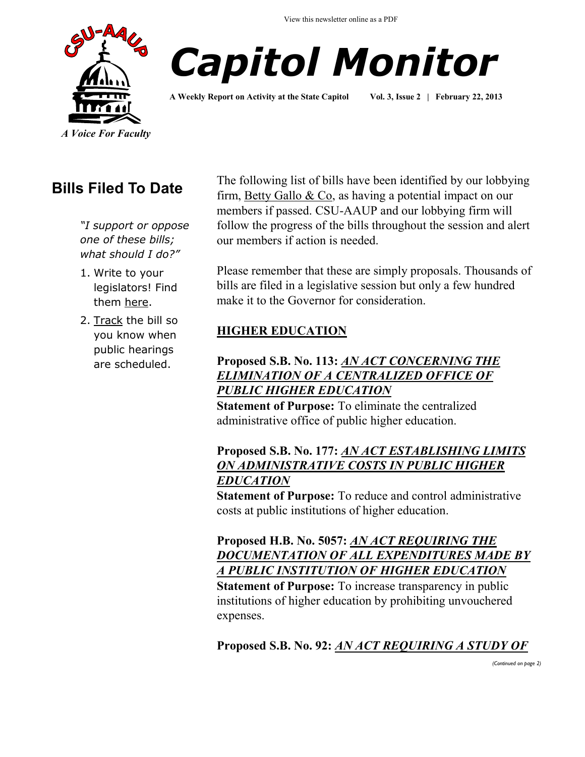View this newsletter online as a PDF





**A Weekly Report on Activity at the State Capitol Vol. 3, Issue 2 | February 22, 2013**

## **Bills Filed To Date**

*"I support or oppose one of these bills; what should I do?"*

- 1. Write to your legislators! Find them [here.](http://www.cga.ct.gov/asp/menu/CGAFindLeg.asp)
- 2. [Track](http://www.cga.ct.gov/aspx/CGAPublicBillTrack/Register.aspx) the bill so you know when public hearings are scheduled.

The following list of bills have been identified by our lobbying firm, [Betty Gallo & Co,](http://www.bettygallo.com/) as having a potential impact on our members if passed. CSU-AAUP and our lobbying firm will follow the progress of the bills throughout the session and alert our members if action is needed.

Please remember that these are simply proposals. Thousands of bills are filed in a legislative session but only a few hundred make it to the Governor for consideration.

## **HIGHER EDUCATION**

#### **Proposed S.B. No. 113:** *[AN ACT CONCERNING THE](http://www.cga.ct.gov/asp/cgabillstatus/cgabillstatus.asp?selBillType=Bill&bill_num=SB00113&which_year=2013)  [ELIMINATION OF A CENTRALIZED OFFICE OF](http://www.cga.ct.gov/asp/cgabillstatus/cgabillstatus.asp?selBillType=Bill&bill_num=SB00113&which_year=2013)  [PUBLIC HIGHER EDUCATION](http://www.cga.ct.gov/asp/cgabillstatus/cgabillstatus.asp?selBillType=Bill&bill_num=SB00113&which_year=2013)*

**Statement of Purpose:** To eliminate the centralized administrative office of public higher education.

## **Proposed S.B. No. 177:** *[AN ACT ESTABLISHING LIMITS](http://www.cga.ct.gov/asp/cgabillstatus/cgabillstatus.asp?selBillType=Bill&bill_num=SB00177&which_year=2013)  [ON ADMINISTRATIVE COSTS IN PUBLIC HIGHER](http://www.cga.ct.gov/asp/cgabillstatus/cgabillstatus.asp?selBillType=Bill&bill_num=SB00177&which_year=2013)  [EDUCATION](http://www.cga.ct.gov/asp/cgabillstatus/cgabillstatus.asp?selBillType=Bill&bill_num=SB00177&which_year=2013)*

**Statement of Purpose:** To reduce and control administrative costs at public institutions of higher education.

#### **Proposed H.B. No. 5057:** *[AN ACT REQUIRING THE](http://www.cga.ct.gov/asp/cgabillstatus/cgabillstatus.asp?selBillType=Bill&bill_num=HB05057&which_year=2013)  [DOCUMENTATION OF ALL EXPENDITURES MADE BY](http://www.cga.ct.gov/asp/cgabillstatus/cgabillstatus.asp?selBillType=Bill&bill_num=HB05057&which_year=2013)  [A PUBLIC INSTITUTION OF HIGHER EDUCATION](http://www.cga.ct.gov/asp/cgabillstatus/cgabillstatus.asp?selBillType=Bill&bill_num=HB05057&which_year=2013)*

**Statement of Purpose:** To increase transparency in public institutions of higher education by prohibiting unvouchered expenses.

**Proposed S.B. No. 92:** *[AN ACT REQUIRING A STUDY OF](http://www.cga.ct.gov/asp/cgabillstatus/cgabillstatus.asp?selBillType=Bill&bill_num=SB00092&which_year=2013)* 

*(Continued on page 2)*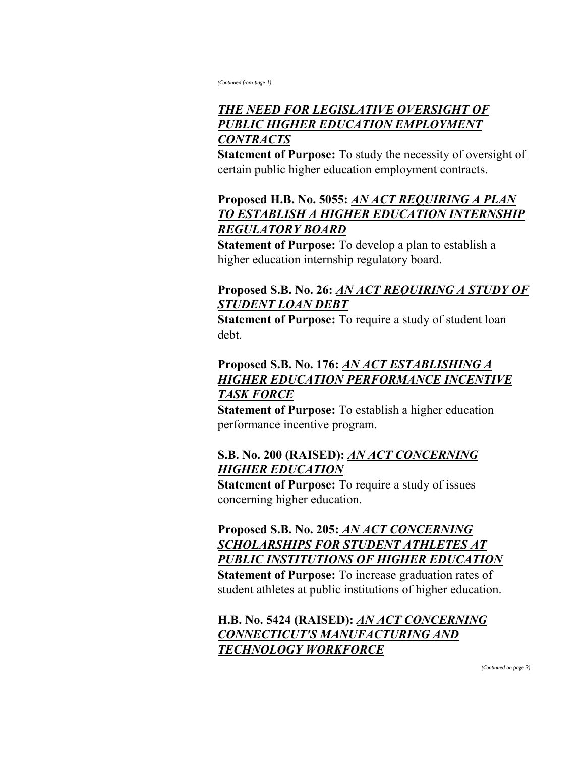*(Continued from page 1)*

## *[THE NEED FOR LEGISLATIVE OVERSIGHT OF](http://www.cga.ct.gov/asp/cgabillstatus/cgabillstatus.asp?selBillType=Bill&bill_num=SB00092&which_year=2013)  [PUBLIC HIGHER EDUCATION EMPLOYMENT](http://www.cga.ct.gov/asp/cgabillstatus/cgabillstatus.asp?selBillType=Bill&bill_num=SB00092&which_year=2013)  [CONTRACTS](http://www.cga.ct.gov/asp/cgabillstatus/cgabillstatus.asp?selBillType=Bill&bill_num=SB00092&which_year=2013)*

**Statement of Purpose:** To study the necessity of oversight of certain public higher education employment contracts.

## **Proposed H.B. No. 5055:** *[AN ACT REQUIRING A PLAN](http://www.cga.ct.gov/asp/cgabillstatus/cgabillstatus.asp?selBillType=Bill&bill_num=HB05055&which_year=2013)  [TO ESTABLISH A HIGHER EDUCATION INTERNSHIP](http://www.cga.ct.gov/asp/cgabillstatus/cgabillstatus.asp?selBillType=Bill&bill_num=HB05055&which_year=2013)  [REGULATORY BOARD](http://www.cga.ct.gov/asp/cgabillstatus/cgabillstatus.asp?selBillType=Bill&bill_num=HB05055&which_year=2013)*

**Statement of Purpose:** To develop a plan to establish a higher education internship regulatory board.

#### **Proposed S.B. No. 26:** *[AN ACT REQUIRING A STUDY OF](http://www.cga.ct.gov/asp/cgabillstatus/cgabillstatus.asp?selBillType=Bill&bill_num=SB00026&which_year=2013)  [STUDENT LOAN DEBT](http://www.cga.ct.gov/asp/cgabillstatus/cgabillstatus.asp?selBillType=Bill&bill_num=SB00026&which_year=2013)*

**Statement of Purpose:** To require a study of student loan debt.

## **Proposed S.B. No. 176:** *[AN ACT ESTABLISHING A](http://www.cga.ct.gov/asp/cgabillstatus/cgabillstatus.asp?selBillType=Bill&bill_num=SB00176&which_year=2013)  [HIGHER EDUCATION PERFORMANCE INCENTIVE](http://www.cga.ct.gov/asp/cgabillstatus/cgabillstatus.asp?selBillType=Bill&bill_num=SB00176&which_year=2013)  [TASK FORCE](http://www.cga.ct.gov/asp/cgabillstatus/cgabillstatus.asp?selBillType=Bill&bill_num=SB00176&which_year=2013)*

**Statement of Purpose:** To establish a higher education performance incentive program.

## **S.B. No. 200 (RAISED):** *[AN ACT CONCERNING](http://www.cga.ct.gov/asp/cgabillstatus/cgabillstatus.asp?selBillType=Bill&bill_num=SB00200&which_year=2013)  [HIGHER EDUCATION](http://www.cga.ct.gov/asp/cgabillstatus/cgabillstatus.asp?selBillType=Bill&bill_num=SB00200&which_year=2013)*

**Statement of Purpose:** To require a study of issues concerning higher education.

**Proposed S.B. No. 205:** *[AN ACT CONCERNING](http://www.cga.ct.gov/asp/cgabillstatus/cgabillstatus.asp?selBillType=Bill&bill_num=SB00205&which_year=2013)  [SCHOLARSHIPS FOR STUDENT ATHLETES AT](http://www.cga.ct.gov/asp/cgabillstatus/cgabillstatus.asp?selBillType=Bill&bill_num=SB00205&which_year=2013)  [PUBLIC INSTITUTIONS OF HIGHER EDUCATION](http://www.cga.ct.gov/asp/cgabillstatus/cgabillstatus.asp?selBillType=Bill&bill_num=SB00205&which_year=2013)* **Statement of Purpose:** To increase graduation rates of student athletes at public institutions of higher education.

**H.B. No. 5424 (RAISED):** *[AN ACT CONCERNING](http://www.cga.ct.gov/asp/cgabillstatus/cgabillstatus.asp?selBillType=Bill&bill_num=HB05424&which_year=2013)  [CONNECTICUT'S MANUFACTURING AND](http://www.cga.ct.gov/asp/cgabillstatus/cgabillstatus.asp?selBillType=Bill&bill_num=HB05424&which_year=2013)  [TECHNOLOGY WORKFORCE](http://www.cga.ct.gov/asp/cgabillstatus/cgabillstatus.asp?selBillType=Bill&bill_num=HB05424&which_year=2013)*

*(Continued on page 3)*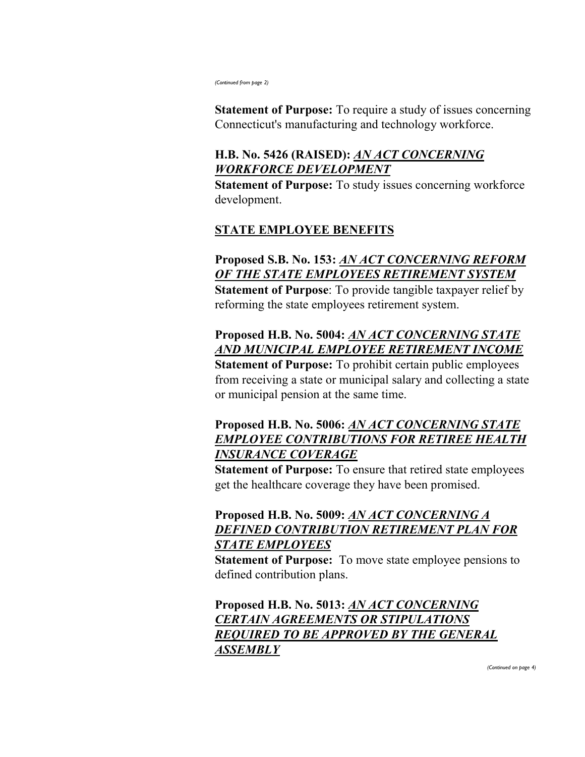*(Continued from page 2)*

**Statement of Purpose:** To require a study of issues concerning Connecticut's manufacturing and technology workforce.

## **H.B. No. 5426 (RAISED):** *[AN ACT CONCERNING](http://www.cga.ct.gov/asp/cgabillstatus/cgabillstatus.asp?selBillType=Bill&bill_num=HB05426&which_year=2013)  [WORKFORCE DEVELOPMENT](http://www.cga.ct.gov/asp/cgabillstatus/cgabillstatus.asp?selBillType=Bill&bill_num=HB05426&which_year=2013)*

**Statement of Purpose:** To study issues concerning workforce development.

## **STATE EMPLOYEE BENEFITS**

**Proposed [S.B. No. 153:](http://www.cga.ct.gov/asp/cgabillstatus/cgabillstatus.asp?selBillType=Bill&bill_num=SB00153&which_year=2013)** *[AN ACT CONCERNING REFORM](http://www.cga.ct.gov/asp/cgabillstatus/cgabillstatus.asp?selBillType=Bill&bill_num=SB00153&which_year=2013)  [OF THE STATE EMPLOYEES RETIREMENT SYSTEM](http://www.cga.ct.gov/asp/cgabillstatus/cgabillstatus.asp?selBillType=Bill&bill_num=SB00153&which_year=2013)* **Statement of Purpose**: To provide tangible taxpayer relief by reforming the state employees retirement system.

## **Proposed H.B. No. 5004:** *[AN ACT CONCERNING STATE](http://www.cga.ct.gov/asp/cgabillstatus/cgabillstatus.asp?selBillType=Bill&bill_num=HB05004&which_year=2013)  [AND MUNICIPAL EMPLOYEE RETIREMENT INCOME](http://www.cga.ct.gov/asp/cgabillstatus/cgabillstatus.asp?selBillType=Bill&bill_num=HB05004&which_year=2013)*

**Statement of Purpose:** To prohibit certain public employees from receiving a state or municipal salary and collecting a state or municipal pension at the same time.

#### **Proposed H.B. No. 5006:** *[AN ACT CONCERNING STATE](http://www.cga.ct.gov/asp/cgabillstatus/cgabillstatus.asp?selBillType=Bill&bill_num=HB05006&which_year=2013)  [EMPLOYEE CONTRIBUTIONS FOR RETIREE HEALTH](http://www.cga.ct.gov/asp/cgabillstatus/cgabillstatus.asp?selBillType=Bill&bill_num=HB05006&which_year=2013)  [INSURANCE COVERAGE](http://www.cga.ct.gov/asp/cgabillstatus/cgabillstatus.asp?selBillType=Bill&bill_num=HB05006&which_year=2013)*

**Statement of Purpose:** To ensure that retired state employees get the healthcare coverage they have been promised.

## **Proposed H.B. No. 5009:** *[AN ACT CONCERNING A](http://www.cga.ct.gov/asp/cgabillstatus/cgabillstatus.asp?selBillType=Bill&bill_num=HB05009&which_year=2013)  [DEFINED CONTRIBUTION RETIREMENT PLAN FOR](http://www.cga.ct.gov/asp/cgabillstatus/cgabillstatus.asp?selBillType=Bill&bill_num=HB05009&which_year=2013)  [STATE EMPLOYEES](http://www.cga.ct.gov/asp/cgabillstatus/cgabillstatus.asp?selBillType=Bill&bill_num=HB05009&which_year=2013)*

**Statement of Purpose:** To move state employee pensions to defined contribution plans.

**Proposed H.B. No. 5013:** *[AN ACT CONCERNING](http://www.cga.ct.gov/asp/cgabillstatus/cgabillstatus.asp?selBillType=Bill&bill_num=HB05013&which_year=2013)  [CERTAIN AGREEMENTS OR STIPULATIONS](http://www.cga.ct.gov/asp/cgabillstatus/cgabillstatus.asp?selBillType=Bill&bill_num=HB05013&which_year=2013)  [REQUIRED TO BE APPROVED BY THE GENERAL](http://www.cga.ct.gov/asp/cgabillstatus/cgabillstatus.asp?selBillType=Bill&bill_num=HB05013&which_year=2013)  [ASSEMBLY](http://www.cga.ct.gov/asp/cgabillstatus/cgabillstatus.asp?selBillType=Bill&bill_num=HB05013&which_year=2013)*

*(Continued on page 4)*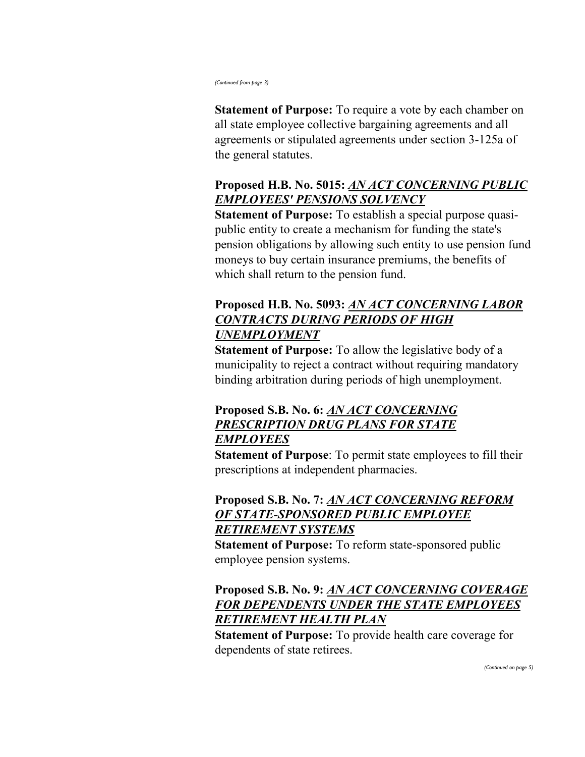*(Continued from page 3)*

**Statement of Purpose:** To require a vote by each chamber on all state employee collective bargaining agreements and all agreements or stipulated agreements under section 3-125a of the general statutes.

## **Proposed H.B. No. 5015:** *[AN ACT CONCERNING PUBLIC](http://www.cga.ct.gov/asp/cgabillstatus/cgabillstatus.asp?selBillType=Bill&bill_num=HB05015&which_year=2013)  [EMPLOYEES' PENSIONS SOLVENCY](http://www.cga.ct.gov/asp/cgabillstatus/cgabillstatus.asp?selBillType=Bill&bill_num=HB05015&which_year=2013)*

**Statement of Purpose:** To establish a special purpose quasipublic entity to create a mechanism for funding the state's pension obligations by allowing such entity to use pension fund moneys to buy certain insurance premiums, the benefits of which shall return to the pension fund.

## **Proposed H.B. No. 5093:** *[AN ACT CONCERNING LABOR](http://www.cga.ct.gov/asp/cgabillstatus/cgabillstatus.asp?selBillType=Bill&bill_num=HB05093&which_year=2013)  [CONTRACTS DURING PERIODS OF HIGH](http://www.cga.ct.gov/asp/cgabillstatus/cgabillstatus.asp?selBillType=Bill&bill_num=HB05093&which_year=2013)  [UNEMPLOYMENT](http://www.cga.ct.gov/asp/cgabillstatus/cgabillstatus.asp?selBillType=Bill&bill_num=HB05093&which_year=2013)*

**Statement of Purpose:** To allow the legislative body of a municipality to reject a contract without requiring mandatory binding arbitration during periods of high unemployment.

## **Proposed S.B. No. 6:** *[AN ACT CONCERNING](http://www.cga.ct.gov/asp/cgabillstatus/cgabillstatus.asp?selBillType=Bill&bill_num=SB00006&which_year=2013)  [PRESCRIPTION DRUG PLANS FOR STATE](http://www.cga.ct.gov/asp/cgabillstatus/cgabillstatus.asp?selBillType=Bill&bill_num=SB00006&which_year=2013)  [EMPLOYEES](http://www.cga.ct.gov/asp/cgabillstatus/cgabillstatus.asp?selBillType=Bill&bill_num=SB00006&which_year=2013)*

**Statement of Purpose**: To permit state employees to fill their prescriptions at independent pharmacies.

## **Proposed S.B. No. 7:** *[AN ACT CONCERNING REFORM](http://www.cga.ct.gov/asp/cgabillstatus/cgabillstatus.asp?selBillType=Bill&bill_num=SB00007&which_year=2013)  [OF STATE-SPONSORED PUBLIC EMPLOYEE](http://www.cga.ct.gov/asp/cgabillstatus/cgabillstatus.asp?selBillType=Bill&bill_num=SB00007&which_year=2013)  [RETIREMENT SYSTEMS](http://www.cga.ct.gov/asp/cgabillstatus/cgabillstatus.asp?selBillType=Bill&bill_num=SB00007&which_year=2013)*

**Statement of Purpose:** To reform state-sponsored public employee pension systems.

## **Proposed S.B. No. 9:** *[AN ACT CONCERNING COVERAGE](http://www.cga.ct.gov/asp/cgabillstatus/cgabillstatus.asp?selBillType=Bill&bill_num=SB00009&which_year=2013)  [FOR DEPENDENTS UNDER THE STATE EMPLOYEES](http://www.cga.ct.gov/asp/cgabillstatus/cgabillstatus.asp?selBillType=Bill&bill_num=SB00009&which_year=2013)  [RETIREMENT HEALTH PLAN](http://www.cga.ct.gov/asp/cgabillstatus/cgabillstatus.asp?selBillType=Bill&bill_num=SB00009&which_year=2013)*

**Statement of Purpose:** To provide health care coverage for dependents of state retirees.

*(Continued on page 5)*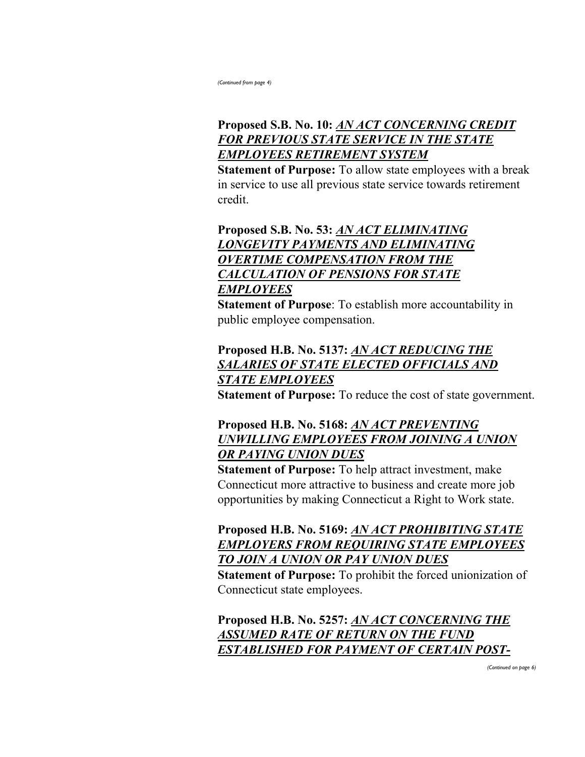*(Continued from page 4)*

## **Proposed S.B. No. 10:** *[AN ACT CONCERNING CREDIT](http://www.cga.ct.gov/asp/cgabillstatus/cgabillstatus.asp?selBillType=Bill&bill_num=SB00010&which_year=2013)  [FOR PREVIOUS STATE SERVICE IN THE STATE](http://www.cga.ct.gov/asp/cgabillstatus/cgabillstatus.asp?selBillType=Bill&bill_num=SB00010&which_year=2013)  [EMPLOYEES RETIREMENT SYSTEM](http://www.cga.ct.gov/asp/cgabillstatus/cgabillstatus.asp?selBillType=Bill&bill_num=SB00010&which_year=2013)*

**Statement of Purpose:** To allow state employees with a break in service to use all previous state service towards retirement credit.

## **Proposed S.B. No. 53:** *[AN ACT ELIMINATING](http://www.cga.ct.gov/asp/cgabillstatus/cgabillstatus.asp?selBillType=Bill&bill_num=SB00053&which_year=2013)  [LONGEVITY PAYMENTS AND ELIMINATING](http://www.cga.ct.gov/asp/cgabillstatus/cgabillstatus.asp?selBillType=Bill&bill_num=SB00053&which_year=2013)  [OVERTIME COMPENSATION FROM THE](http://www.cga.ct.gov/asp/cgabillstatus/cgabillstatus.asp?selBillType=Bill&bill_num=SB00053&which_year=2013)  [CALCULATION OF PENSIONS FOR STATE](http://www.cga.ct.gov/asp/cgabillstatus/cgabillstatus.asp?selBillType=Bill&bill_num=SB00053&which_year=2013)  [EMPLOYEES](http://www.cga.ct.gov/asp/cgabillstatus/cgabillstatus.asp?selBillType=Bill&bill_num=SB00053&which_year=2013)*

**Statement of Purpose**: To establish more accountability in public employee compensation.

## **Proposed H.B. No. 5137:** *[AN ACT REDUCING THE](http://www.cga.ct.gov/asp/cgabillstatus/cgabillstatus.asp?selBillType=Bill&bill_num=HB05137&which_year=2013)  [SALARIES OF STATE ELECTED OFFICIALS AND](http://www.cga.ct.gov/asp/cgabillstatus/cgabillstatus.asp?selBillType=Bill&bill_num=HB05137&which_year=2013)  [STATE EMPLOYEES](http://www.cga.ct.gov/asp/cgabillstatus/cgabillstatus.asp?selBillType=Bill&bill_num=HB05137&which_year=2013)*

**Statement of Purpose:** To reduce the cost of state government.

## **Proposed H.B. No. 5168:** *[AN ACT PREVENTING](http://www.cga.ct.gov/asp/cgabillstatus/cgabillstatus.asp?selBillType=Bill&bill_num=HB05168&which_year=2013)  [UNWILLING EMPLOYEES FROM JOINING A UNION](http://www.cga.ct.gov/asp/cgabillstatus/cgabillstatus.asp?selBillType=Bill&bill_num=HB05168&which_year=2013)  [OR PAYING UNION DUES](http://www.cga.ct.gov/asp/cgabillstatus/cgabillstatus.asp?selBillType=Bill&bill_num=HB05168&which_year=2013)*

**Statement of Purpose:** To help attract investment, make Connecticut more attractive to business and create more job opportunities by making Connecticut a Right to Work state.

## **Proposed H.B. No. 5169:** *[AN ACT PROHIBITING STATE](http://www.cga.ct.gov/asp/cgabillstatus/cgabillstatus.asp?selBillType=Bill&bill_num=HB05169&which_year=2013)  [EMPLOYERS FROM REQUIRING STATE EMPLOYEES](http://www.cga.ct.gov/asp/cgabillstatus/cgabillstatus.asp?selBillType=Bill&bill_num=HB05169&which_year=2013)  [TO JOIN A UNION OR PAY UNION DUES](http://www.cga.ct.gov/asp/cgabillstatus/cgabillstatus.asp?selBillType=Bill&bill_num=HB05169&which_year=2013)*

**Statement of Purpose:** To prohibit the forced unionization of Connecticut state employees.

**Proposed H.B. No. 5257:** *[AN ACT CONCERNING THE](http://www.cga.ct.gov/asp/cgabillstatus/cgabillstatus.asp?selBillType=Bill&bill_num=HB05257&which_year=2013)  [ASSUMED RATE OF RETURN ON THE FUND](http://www.cga.ct.gov/asp/cgabillstatus/cgabillstatus.asp?selBillType=Bill&bill_num=HB05257&which_year=2013)  [ESTABLISHED FOR PAYMENT OF CERTAIN POST-](http://www.cga.ct.gov/asp/cgabillstatus/cgabillstatus.asp?selBillType=Bill&bill_num=HB05257&which_year=2013)*

*(Continued on page 6)*